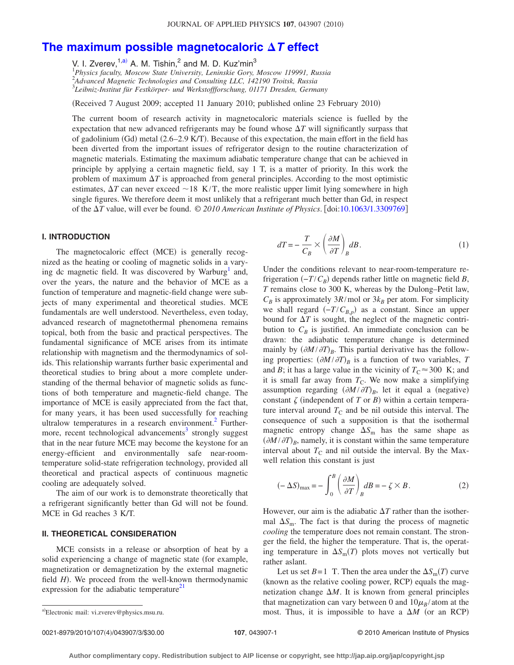# [The maximum possible magnetocaloric](http://dx.doi.org/10.1063/1.3309769)  $\Delta T$  effect

V. I. Zverev,  $1, a$ ) A. M. Tishin, <sup>2</sup> and M. D. Kuz'min<sup>3</sup>

1 *Physics faculty, Moscow State University, Leninskie Gory, Moscow 119991, Russia* 2 *Advanced Magnetic Technologies and Consulting LLC, 142190 Troitsk, Russia* 3 *Leibniz-Institut für Festkörper- und Werkstoffforschung, 01171 Dresden, Germany*

(Received 7 August 2009; accepted 11 January 2010; published online 23 February 2010)

The current boom of research activity in magnetocaloric materials science is fuelled by the expectation that new advanced refrigerants may be found whose  $\Delta T$  will significantly surpass that of gadolinium (Gd) metal (2.6–2.9 K/T). Because of this expectation, the main effort in the field has been diverted from the important issues of refrigerator design to the routine characterization of magnetic materials. Estimating the maximum adiabatic temperature change that can be achieved in principle by applying a certain magnetic field, say 1 T, is a matter of priority. In this work the problem of maximum  $\Delta T$  is approached from general principles. According to the most optimistic estimates,  $\Delta T$  can never exceed  $\sim$  18 K/T, the more realistic upper limit lying somewhere in high single figures. We therefore deem it most unlikely that a refrigerant much better than Gd, in respect of the *T* value, will ever be found. © *2010 American Institute of Physics*. doi[:10.1063/1.3309769](http://dx.doi.org/10.1063/1.3309769)

### **I. INTRODUCTION**

The magnetocaloric effect (MCE) is generally recognized as the heating or cooling of magnetic solids in a varying dc magnetic field. It was discovered by Warburg<sup>1</sup> and, over the years, the nature and the behavior of MCE as a function of temperature and magnetic-field change were subjects of many experimental and theoretical studies. MCE fundamentals are well understood. Nevertheless, even today, advanced research of magnetothermal phenomena remains topical, both from the basic and practical perspectives. The fundamental significance of MCE arises from its intimate relationship with magnetism and the thermodynamics of solids. This relationship warrants further basic experimental and theoretical studies to bring about a more complete understanding of the thermal behavior of magnetic solids as functions of both temperature and magnetic-field change. The importance of MCE is easily appreciated from the fact that, for many years, it has been used successfully for reaching ultralow temperatures in a research environment.<sup>2</sup> Furthermore, recent technological advancements<sup>3</sup> strongly suggest that in the near future MCE may become the keystone for an energy-efficient and environmentally safe near-roomtemperature solid-state refrigeration technology, provided all theoretical and practical aspects of continuous magnetic cooling are adequately solved.

The aim of our work is to demonstrate theoretically that a refrigerant significantly better than Gd will not be found. MCE in Gd reaches 3 K/T.

#### **II. THEORETICAL CONSIDERATION**

MCE consists in a release or absorption of heat by a solid experiencing a change of magnetic state (for example, magnetization or demagnetization by the external magnetic field *H*). We proceed from the well-known thermodynamic expression for the adiabatic temperature $^{21}$ 

<span id="page-0-0"></span>
$$
dT = -\frac{T}{C_B} \times \left(\frac{\partial M}{\partial T}\right)_B dB.
$$
\n(1)

Under the conditions relevant to near-room-temperature refrigeration  $(-T/C_B)$  depends rather little on magnetic field *B*, *T* remains close to 300 K, whereas by the Dulong–Petit law,  $C_B$  is approximately 3*R*/mol or 3 $k_B$  per atom. For simplicity we shall regard  $(-T/C_{B,p})$  as a constant. Since an upper bound for  $\Delta T$  is sought, the neglect of the magnetic contribution to  $C_B$  is justified. An immediate conclusion can be drawn: the adiabatic temperature change is determined mainly by  $(\partial M / \partial T)_B$ . This partial derivative has the following properties:  $(\partial M / \partial T)_B$  is a function of two variables, *T* and *B*; it has a large value in the vicinity of  $T_c \approx 300$  K; and it is small far away from  $T<sub>C</sub>$ . We now make a simplifying assumption regarding  $(\partial M / \partial T)_B$ , let it equal a (negative) constant  $\zeta$  (independent of *T* or *B*) within a certain temperature interval around  $T<sub>C</sub>$  and be nil outside this interval. The consequence of such a supposition is that the isothermal magnetic entropy change  $\Delta S_{\text{m}}$  has the same shape as  $(\partial M / \partial T)_B$ , namely, it is constant within the same temperature interval about  $T_c$  and nil outside the interval. By the Maxwell relation this constant is just

<span id="page-0-1"></span>
$$
(-\Delta S)_{\text{max}} = -\int_0^B \left(\frac{\partial M}{\partial T}\right)_B dB = -\zeta \times B. \tag{2}
$$

However, our aim is the adiabatic  $\Delta T$  rather than the isothermal  $\Delta S_{\text{m}}$ . The fact is that during the process of magnetic *cooling* the temperature does not remain constant. The stronger the field, the higher the temperature. That is, the operating temperature in  $\Delta S_{\text{m}}(T)$  plots moves not vertically but rather aslant.

Let us set  $B = 1$  T. Then the area under the  $\Delta S_{\text{m}}(T)$  curve (known as the relative cooling power, RCP) equals the magnetization change  $\Delta M$ . It is known from general principles that magnetization can vary between 0 and  $10\mu_B$ /atom at the a) Electronic mail: vi.zverev@physics.msu.ru. **and interval is impossible to have a**  $\Delta M$  (or an RCP)

Electronic mail: vi.zverev@physics.msu.ru.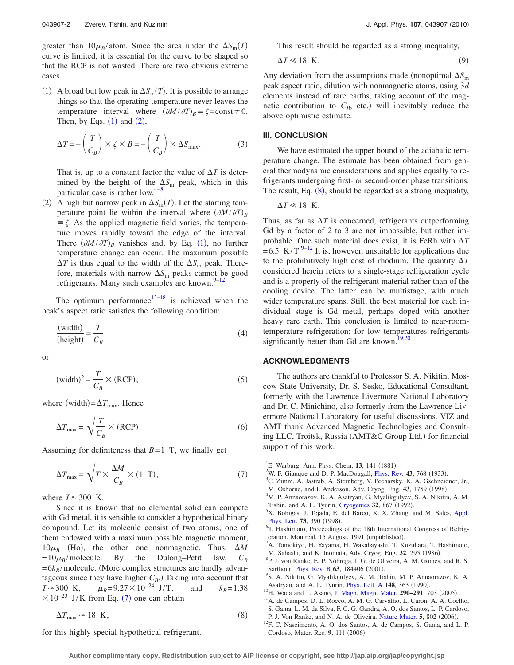greater than  $10\mu_B/\text{atom}$ . Since the area under the  $\Delta S_m(T)$ curve is limited, it is essential for the curve to be shaped so that the RCP is not wasted. There are two obvious extreme cases.

(1) A broad but low peak in  $\Delta S_m(T)$ . It is possible to arrange things so that the operating temperature never leaves the temperature interval where  $(\partial M / \partial T)_B = \zeta = \text{const} \neq 0$ . Then, by Eqs.  $(1)$  $(1)$  $(1)$  and  $(2)$  $(2)$  $(2)$ ,

$$
\Delta T = -\left(\frac{T}{C_B}\right) \times \zeta \times B = -\left(\frac{T}{C_B}\right) \times \Delta S_{\text{max}}.\tag{3}
$$

That is, up to a constant factor the value of  $\Delta T$  is determined by the height of the  $\Delta S_{\text{m}}$  peak, which in this particular case is rather low. $4-8$ 

(2) A high but narrow peak in  $\Delta S_m(T)$ . Let the starting temperature point lie within the interval where  $(\partial M / \partial T)_B$  $\equiv \zeta$ . As the applied magnetic field varies, the temperature moves rapidly toward the edge of the interval. There  $(\partial M / \partial T)_B$  vanishes and, by Eq. ([1](#page-0-0)), no further temperature change can occur. The maximum possible  $\Delta T$  is thus equal to the width of the  $\Delta S<sub>m</sub>$  peak. Therefore, materials with narrow  $\Delta S_{\text{m}}$  peaks cannot be good refrigerants. Many such examples are known. $9-12$  $9-12$ 

The optimum performance<sup>13–[18](#page-2-2)</sup> is achieved when the peak's aspect ratio satisfies the following condition:

$$
\frac{\text{(width)}}{\text{(height)}} = \frac{T}{C_B} \tag{4}
$$

or

$$
(\text{width})^2 = \frac{T}{C_B} \times (\text{RCP}),\tag{5}
$$

where (width)= $\Delta T_{\text{max}}$ . Hence

$$
\Delta T_{\text{max}} = \sqrt{\frac{T}{C_B} \times (\text{RCP})}.
$$
\n(6)

<span id="page-1-7"></span>Assuming for definiteness that  $B=1$  T, we finally get

$$
\Delta T_{\text{max}} = \sqrt{T \times \frac{\Delta M}{C_B} \times (1 \text{ T})},\tag{7}
$$

where  $T \approx 300$  K.

Since it is known that no elemental solid can compete with Gd metal, it is sensible to consider a hypothetical binary compound. Let its molecule consist of two atoms, one of them endowed with a maximum possible magnetic moment,  $10\mu$ <sub>B</sub> (Ho), the other one nonmagnetic. Thus,  $\Delta M$  $= 10\mu_B$ /molecule. By the Dulong–Petit law,  $C_B$  $= 6k_B$ /molecule. (More complex structures are hardly advantageous since they have higher  $C_B$ .) Taking into account that *T*≈300 K,  $\mu_B$ =9.27×10<sup>-24</sup> J/T, and  $k_B$ =1.38  $\times 10^{-23}$  J/K from Eq. ([7](#page-1-7)) one can obtain

$$
\Delta T_{\text{max}} \approx 18 \text{ K},\tag{8}
$$

This result should be regarded as a strong inequality,

$$
\Delta T \ll 18 \text{ K.} \tag{9}
$$

Any deviation from the assumptions made (nonoptimal  $\Delta S_{\text{m}}$ peak aspect ratio, dilution with nonmagnetic atoms, using 3*d* elements instead of rare earths, taking account of the magnetic contribution to  $C_B$ , etc.) will inevitably reduce the above optimistic estimate.

#### **III. CONCLUSION**

We have estimated the upper bound of the adiabatic temperature change. The estimate has been obtained from general thermodynamic considerations and applies equally to refrigerants undergoing first- or second-order phase transitions. The result, Eq.  $(8)$  $(8)$  $(8)$ , should be regarded as a strong inequality,

$$
\Delta T \ll 18 \, \text{K}
$$

Thus, as far as  $\Delta T$  is concerned, refrigerants outperforming Gd by a factor of 2 to 3 are not impossible, but rather improbable. One such material does exist, it is FeRh with  $\Delta T$ = 6.5 K/T. $^{9-12}$  It is, however, unsuitable for applications due to the prohibitively high cost of rhodium. The quantity  $\Delta T$ considered herein refers to a single-stage refrigeration cycle and is a property of the refrigerant material rather than of the cooling device. The latter can be multistage, with much wider temperature spans. Still, the best material for each individual stage is Gd metal, perhaps doped with another heavy rare earth. This conclusion is limited to near-roomtemperature refrigeration; for low temperatures refrigerants significantly better than Gd are known.<sup>19[,20](#page-2-4)</sup>

## **ACKNOWLEDGMENTS**

The authors are thankful to Professor S. A. Nikitin, Moscow State University, Dr. S. Sesko, Educational Consultant, formerly with the Lawrence Livermore National Laboratory and Dr. C. Minichino, also formerly from the Lawrence Livermore National Laboratory for useful discussions. VIZ and AMT thank Advanced Magnetic Technologies and Consulting LLC, Troitsk, Russia (AMT&C Group Ltd.) for financial support of this work.

- <span id="page-1-2"></span><sup>3</sup>C. Zimm, A. Jastrab, A. Sternberg, V. Pecharsky, K. A. Gschneidner, Jr., M. Osborne, and I. Anderson, Adv. Cryog. Eng.  $43$ , 1759 (1998).
- <span id="page-1-3"></span>M. P. Annaorazov, K. A. Asatryan, G. Myalikgulyev, S. A. Nikitin, A. M. Tishin, and A. L. Tyurin, [Cryogenics](http://dx.doi.org/10.1016/0011-2275(92)90352-B) **32**, 867 (1992).
- X. Bohigas, J. Tejada, E. del Barco, X. X. Zhang, and M. Sales, [Appl.](http://dx.doi.org/10.1063/1.121844) **[Phys. Lett.](http://dx.doi.org/10.1063/1.121844) 73**, 390 (1998).
- <sup>6</sup>T. Hashimoto, Proceedings of the 18th International Congress of Refrigeration, Montreal, 15 August, 1991 (unpublished).<br> $7^7$  Templing H. Voyame, H. Welchbuschi, T. K.
- A. Tomokiyo, H. Yayama, H. Wakabayashi, T. Kuzuhara, T. Hashimoto, M. Sahashi, and K. Inomata, Adv. Cryog. Eng. **32**, 295 (1986).
- <span id="page-1-4"></span><sup>8</sup>P. J. von Ranke, E. P. Nóbrega, I. G. de Oliveira, A. M. Gomes, and R. S. Sarthour, *[Phys. Rev. B](http://dx.doi.org/10.1103/PhysRevB.63.184406)* 63, 184406 (2001).
- <span id="page-1-5"></span>S. A. Nikitin, G. Myalikgulyev, A. M. Tishin, M. P. Annaorazov, K. A. Asatryan, and A. L. Tyurin, *[Phys. Lett. A](http://dx.doi.org/10.1016/0375-9601(90)90819-A)* 148, 363 (1990).
- <sup>10</sup>H. Wada and T. Asano, [J. Magn. Magn. Mater.](http://dx.doi.org/10.1016/j.jmmm.2004.11.342) **290–291**, 703 (2005).
- <sup>11</sup>A. de Campos, D. L. Rocco, A. M. G. Carvalho, L. Caron, A. A. Coelho, S. Gama, L. M. da Silva, F. C. G. Gandra, A. O. dos Santos, L. P. Cardoso,
- P. J. Von Ranke, and N. A. de Oliveira, [Nature Mater.](http://dx.doi.org/10.1038/nmat1732) 5, 802 (2006).
- <span id="page-1-6"></span><sup>12</sup>F. C. Nascimento, A. O. dos Santos, A. de Campos, S. Gama, and L. P. Cordoso, Mater. Res. 9, 111 (2006).

<span id="page-1-8"></span>for this highly special hypothetical refrigerant.

<span id="page-1-0"></span><sup>&</sup>lt;sup>1</sup>E. Warburg, Ann. Phys. Chem. **13**, 141 (1881).

<span id="page-1-1"></span><sup>&</sup>lt;sup>2</sup>W. F. Giauque and D. P. MacDougall, *[Phys. Rev.](http://dx.doi.org/10.1103/PhysRev.43.768)* **43**, 768 (1933).